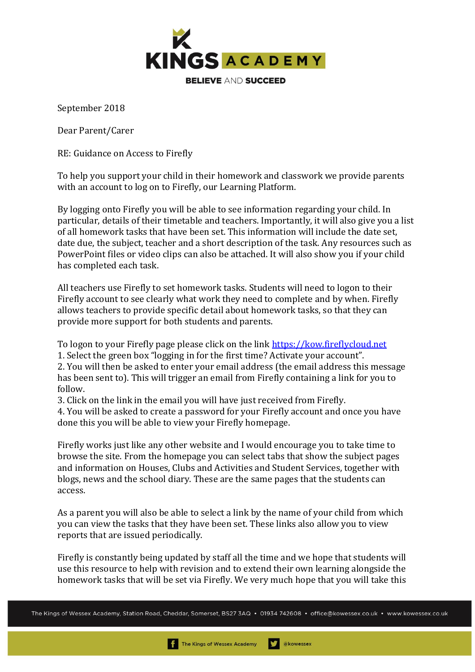

September 2018

Dear Parent/Carer

RE: Guidance on Access to Firefly

To help you support your child in their homework and classwork we provide parents with an account to log on to Firefly, our Learning Platform.

By logging onto Firefly you will be able to see information regarding your child. In particular, details of their timetable and teachers. Importantly, it will also give you a list of all homework tasks that have been set. This information will include the date set, date due, the subject, teacher and a short description of the task. Any resources such as PowerPoint files or video clips can also be attached. It will also show you if your child has completed each task.

All teachers use Firefly to set homework tasks. Students will need to logon to their Firefly account to see clearly what work they need to complete and by when. Firefly allows teachers to provide specific detail about homework tasks, so that they can provide more support for both students and parents.

To logon to your Firefly page please click on the link [https://kow.fireflycloud.net](https://kow.fireflycloud.net/) 

1. Select the green box "logging in for the first time? Activate your account".

2. You will then be asked to enter your email address (the email address this message has been sent to). This will trigger an email from Firefly containing a link for you to follow.

3. Click on the link in the email you will have just received from Firefly.

4. You will be asked to create a password for your Firefly account and once you have done this you will be able to view your Firefly homepage.

Firefly works just like any other website and I would encourage you to take time to browse the site. From the homepage you can select tabs that show the subject pages and information on Houses, Clubs and Activities and Student Services, together with blogs, news and the school diary. These are the same pages that the students can access.

As a parent you will also be able to select a link by the name of your child from which you can view the tasks that they have been set. These links also allow you to view reports that are issued periodically.

Firefly is constantly being updated by staff all the time and we hope that students will use this resource to help with revision and to extend their own learning alongside the homework tasks that will be set via Firefly. We very much hope that you will take this

The Kings of Wessex Academy, Station Road, Cheddar, Somerset, BS27 3AQ • 01934 742608 • office@kowessex.co.uk • www.kowessex.co.uk